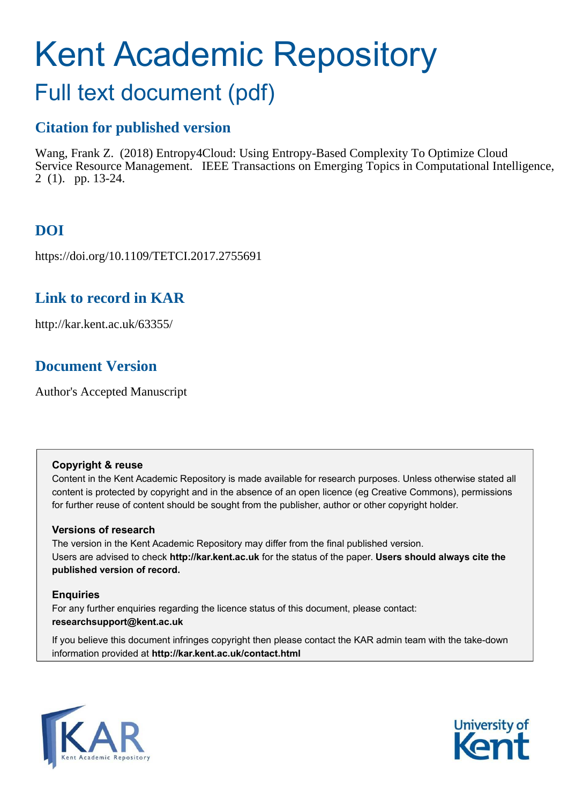# Kent Academic Repository

# Full text document (pdf)

## **Citation for published version**

Wang, Frank Z. (2018) Entropy4Cloud: Using Entropy-Based Complexity To Optimize Cloud Service Resource Management. IEEE Transactions on Emerging Topics in Computational Intelligence, 2 (1). pp. 13-24.

# **DOI**

https://doi.org/10.1109/TETCI.2017.2755691

## **Link to record in KAR**

http://kar.kent.ac.uk/63355/

## **Document Version**

Author's Accepted Manuscript

#### **Copyright & reuse**

Content in the Kent Academic Repository is made available for research purposes. Unless otherwise stated all content is protected by copyright and in the absence of an open licence (eg Creative Commons), permissions for further reuse of content should be sought from the publisher, author or other copyright holder.

#### **Versions of research**

The version in the Kent Academic Repository may differ from the final published version. Users are advised to check **http://kar.kent.ac.uk** for the status of the paper. **Users should always cite the published version of record.**

#### **Enquiries**

For any further enquiries regarding the licence status of this document, please contact: **researchsupport@kent.ac.uk**

If you believe this document infringes copyright then please contact the KAR admin team with the take-down information provided at **http://kar.kent.ac.uk/contact.html**



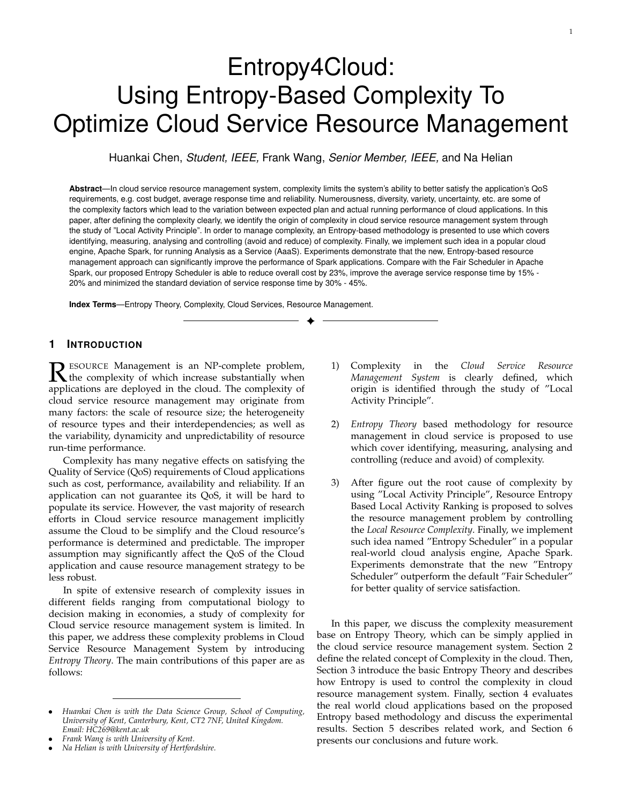# Entropy4Cloud: Using Entropy-Based Complexity To Optimize Cloud Service Resource Management

Huankai Chen, *Student, IEEE,* Frank Wang, *Senior Member, IEEE,* and Na Helian

**Abstract**—In cloud service resource management system, complexity limits the system's ability to better satisfy the application's QoS requirements, e.g. cost budget, average response time and reliability. Numerousness, diversity, variety, uncertainty, etc. are some of the complexity factors which lead to the variation between expected plan and actual running performance of cloud applications. In this paper, after defining the complexity clearly, we identify the origin of complexity in cloud service resource management system through the study of "Local Activity Principle". In order to manage complexity, an Entropy-based methodology is presented to use which covers identifying, measuring, analysing and controlling (avoid and reduce) of complexity. Finally, we implement such idea in a popular cloud engine, Apache Spark, for running Analysis as a Service (AaaS). Experiments demonstrate that the new, Entropy-based resource management approach can significantly improve the performance of Spark applications. Compare with the Fair Scheduler in Apache Spark, our proposed Entropy Scheduler is able to reduce overall cost by 23%, improve the average service response time by 15% - 20% and minimized the standard deviation of service response time by 30% - 45%.

✦

**Index Terms**—Entropy Theory, Complexity, Cloud Services, Resource Management.

#### **1 INTRODUCTION**

**R** ESOURCE Management is an NP-complete problem,<br>the complexity of which increase substantially when<br>applications are doployed in the cloud. The complexity of ESOURCE Management is an NP-complete problem, applications are deployed in the cloud. The complexity of cloud service resource management may originate from many factors: the scale of resource size; the heterogeneity of resource types and their interdependencies; as well as the variability, dynamicity and unpredictability of resource run-time performance.

Complexity has many negative effects on satisfying the Quality of Service (QoS) requirements of Cloud applications such as cost, performance, availability and reliability. If an application can not guarantee its QoS, it will be hard to populate its service. However, the vast majority of research efforts in Cloud service resource management implicitly assume the Cloud to be simplify and the Cloud resource's performance is determined and predictable. The improper assumption may significantly affect the QoS of the Cloud application and cause resource management strategy to be less robust.

In spite of extensive research of complexity issues in different fields ranging from computational biology to decision making in economies, a study of complexity for Cloud service resource management system is limited. In this paper, we address these complexity problems in Cloud Service Resource Management System by introducing *Entropy Theory*. The main contributions of this paper are as follows:

- 1) Complexity in the *Cloud Service Resource Management System* is clearly defined, which origin is identified through the study of "Local Activity Principle".
- 2) *Entropy Theory* based methodology for resource management in cloud service is proposed to use which cover identifying, measuring, analysing and controlling (reduce and avoid) of complexity.
- 3) After figure out the root cause of complexity by using "Local Activity Principle", Resource Entropy Based Local Activity Ranking is proposed to solves the resource management problem by controlling the *Local Resource Complexity*. Finally, we implement such idea named "Entropy Scheduler" in a popular real-world cloud analysis engine, Apache Spark. Experiments demonstrate that the new "Entropy Scheduler" outperform the default "Fair Scheduler" for better quality of service satisfaction.

In this paper, we discuss the complexity measurement base on Entropy Theory, which can be simply applied in the cloud service resource management system. Section 2 define the related concept of Complexity in the cloud. Then, Section 3 introduce the basic Entropy Theory and describes how Entropy is used to control the complexity in cloud resource management system. Finally, section 4 evaluates the real world cloud applications based on the proposed Entropy based methodology and discuss the experimental results. Section 5 describes related work, and Section 6 presents our conclusions and future work.

<sup>•</sup> *Huankai Chen is with the Data Science Group, School of Computing, University of Kent, Canterbury, Kent, CT2 7NF, United Kingdom. Email: HC269@kent.ac.uk*

<sup>•</sup> *Frank Wang is with University of Kent.*

<sup>•</sup> *Na Helian is with University of Hertfordshire.*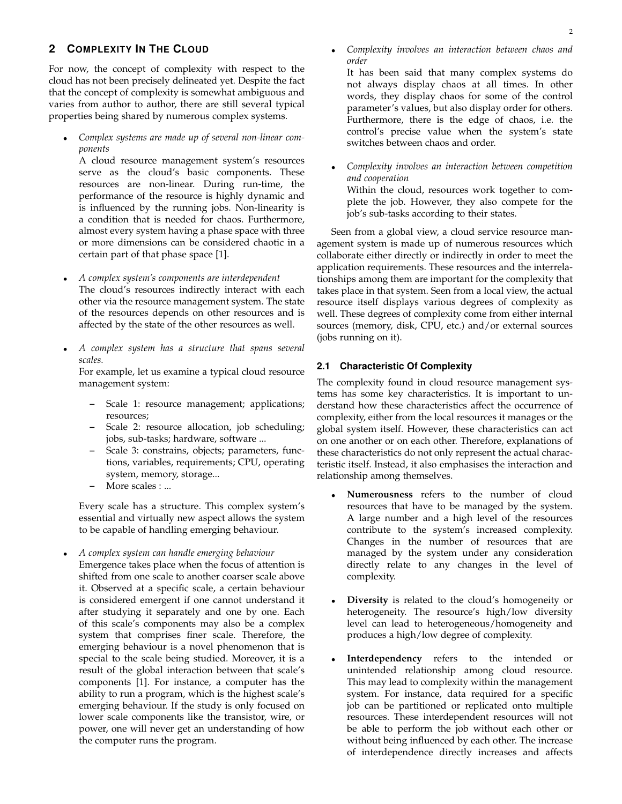#### **2 COMPLEXITY IN THE CLOUD**

For now, the concept of complexity with respect to the cloud has not been precisely delineated yet. Despite the fact that the concept of complexity is somewhat ambiguous and varies from author to author, there are still several typical properties being shared by numerous complex systems.

• *Complex systems are made up of several non-linear components*

A cloud resource management system's resources serve as the cloud's basic components. These resources are non-linear. During run-time, the performance of the resource is highly dynamic and is influenced by the running jobs. Non-linearity is a condition that is needed for chaos. Furthermore, almost every system having a phase space with three or more dimensions can be considered chaotic in a certain part of that phase space [1].

- *A complex system's components are interdependent* The cloud's resources indirectly interact with each other via the resource management system. The state of the resources depends on other resources and is affected by the state of the other resources as well.
- *A complex system has a structure that spans several scales.*

For example, let us examine a typical cloud resource management system:

- **–** Scale 1: resource management; applications; resources;
- **–** Scale 2: resource allocation, job scheduling; jobs, sub-tasks; hardware, software ...
- **–** Scale 3: constrains, objects; parameters, functions, variables, requirements; CPU, operating system, memory, storage...
- **–** More scales : ...

Every scale has a structure. This complex system's essential and virtually new aspect allows the system to be capable of handling emerging behaviour.

• *A complex system can handle emerging behaviour* Emergence takes place when the focus of attention is shifted from one scale to another coarser scale above it. Observed at a specific scale, a certain behaviour is considered emergent if one cannot understand it after studying it separately and one by one. Each of this scale's components may also be a complex system that comprises finer scale. Therefore, the emerging behaviour is a novel phenomenon that is special to the scale being studied. Moreover, it is a result of the global interaction between that scale's components [1]. For instance, a computer has the ability to run a program, which is the highest scale's emerging behaviour. If the study is only focused on lower scale components like the transistor, wire, or power, one will never get an understanding of how the computer runs the program.

• *Complexity involves an interaction between chaos and order*

It has been said that many complex systems do not always display chaos at all times. In other words, they display chaos for some of the control parameter's values, but also display order for others. Furthermore, there is the edge of chaos, i.e. the control's precise value when the system's state switches between chaos and order.

• *Complexity involves an interaction between competition and cooperation* Within the cloud, resources work together to complete the job. However, they also compete for the job's sub-tasks according to their states.

Seen from a global view, a cloud service resource management system is made up of numerous resources which collaborate either directly or indirectly in order to meet the application requirements. These resources and the interrelationships among them are important for the complexity that takes place in that system. Seen from a local view, the actual resource itself displays various degrees of complexity as well. These degrees of complexity come from either internal sources (memory, disk, CPU, etc.) and/or external sources (jobs running on it).

#### **2.1 Characteristic Of Complexity**

The complexity found in cloud resource management systems has some key characteristics. It is important to understand how these characteristics affect the occurrence of complexity, either from the local resources it manages or the global system itself. However, these characteristics can act on one another or on each other. Therefore, explanations of these characteristics do not only represent the actual characteristic itself. Instead, it also emphasises the interaction and relationship among themselves.

- **Numerousness** refers to the number of cloud resources that have to be managed by the system. A large number and a high level of the resources contribute to the system's increased complexity. Changes in the number of resources that are managed by the system under any consideration directly relate to any changes in the level of complexity.
- **Diversity** is related to the cloud's homogeneity or heterogeneity. The resource's high/low diversity level can lead to heterogeneous/homogeneity and produces a high/low degree of complexity.
- **Interdependency** refers to the intended or unintended relationship among cloud resource. This may lead to complexity within the management system. For instance, data required for a specific job can be partitioned or replicated onto multiple resources. These interdependent resources will not be able to perform the job without each other or without being influenced by each other. The increase of interdependence directly increases and affects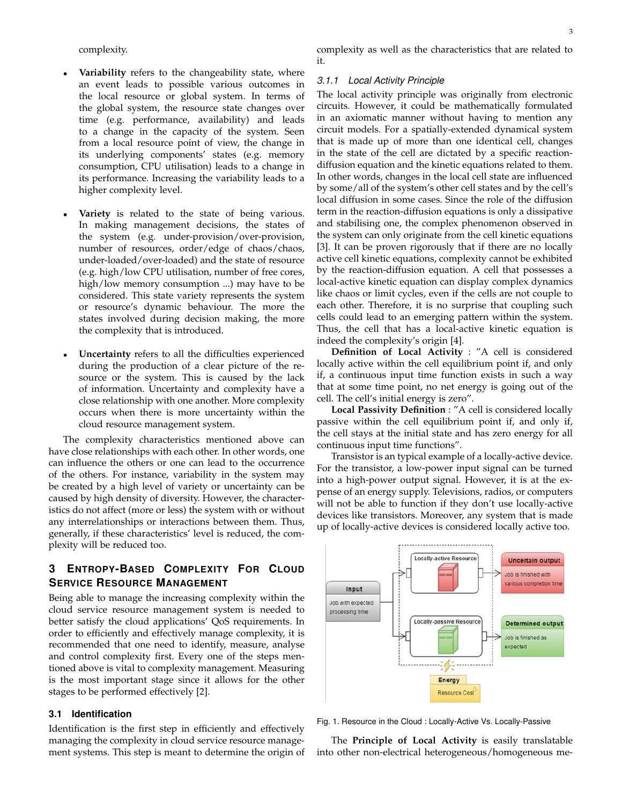complexity.

- **Variability** refers to the changeability state, where an event leads to possible various outcomes in the local resource or global system. In terms of the global system, the resource state changes over time (e.g. performance, availability) and leads to a change in the capacity of the system. Seen from a local resource point of view, the change in its underlying components' states (e.g. memory consumption, CPU utilisation) leads to a change in its performance. Increasing the variability leads to a higher complexity level.
- Variety is related to the state of being various. In making management decisions, the states of the system (e.g. under-provision/over-provision, number of resources, order/edge of chaos/chaos, under-loaded/over-loaded) and the state of resource (e.g. high/low CPU utilisation, number of free cores, high/low memory consumption ...) may have to be considered. This state variety represents the system or resource's dynamic behaviour. The more the states involved during decision making, the more the complexity that is introduced.
- **Uncertainty** refers to all the difficulties experienced during the production of a clear picture of the resource or the system. This is caused by the lack of information. Uncertainty and complexity have a close relationship with one another. More complexity occurs when there is more uncertainty within the cloud resource management system.

The complexity characteristics mentioned above can have close relationships with each other. In other words, one can influence the others or one can lead to the occurrence of the others. For instance, variability in the system may be created by a high level of variety or uncertainty can be caused by high density of diversity. However, the characteristics do not affect (more or less) the system with or without any interrelationships or interactions between them. Thus, generally, if these characteristics' level is reduced, the complexity will be reduced too.

#### **3 ENTROPY-BASED COMPLEXITY FOR CLOUD SERVICE RESOURCE MANAGEMENT**

Being able to manage the increasing complexity within the cloud service resource management system is needed to better satisfy the cloud applications' QoS requirements. In order to efficiently and effectively manage complexity, it is recommended that one need to identify, measure, analyse and control complexity first. Every one of the steps mentioned above is vital to complexity management. Measuring is the most important stage since it allows for the other stages to be performed effectively [2].

#### **3.1 Identification**

Identification is the first step in efficiently and effectively managing the complexity in cloud service resource management systems. This step is meant to determine the origin of complexity as well as the characteristics that are related to it.

#### *3.1.1 Local Activity Principle*

The local activity principle was originally from electronic circuits. However, it could be mathematically formulated in an axiomatic manner without having to mention any circuit models. For a spatially-extended dynamical system that is made up of more than one identical cell, changes in the state of the cell are dictated by a specific reactiondiffusion equation and the kinetic equations related to them. In other words, changes in the local cell state are influenced by some/all of the system's other cell states and by the cell's local diffusion in some cases. Since the role of the diffusion term in the reaction-diffusion equations is only a dissipative and stabilising one, the complex phenomenon observed in the system can only originate from the cell kinetic equations [3]. It can be proven rigorously that if there are no locally active cell kinetic equations, complexity cannot be exhibited by the reaction-diffusion equation. A cell that possesses a local-active kinetic equation can display complex dynamics like chaos or limit cycles, even if the cells are not couple to each other. Therefore, it is no surprise that coupling such cells could lead to an emerging pattern within the system. Thus, the cell that has a local-active kinetic equation is indeed the complexity's origin [4].

**Definition of Local Activity** : "A cell is considered locally active within the cell equilibrium point if, and only if, a continuous input time function exists in such a way that at some time point, no net energy is going out of the cell. The cell's initial energy is zero".

**Local Passivity Definition** : "A cell is considered locally passive within the cell equilibrium point if, and only if, the cell stays at the initial state and has zero energy for all continuous input time functions".

Transistor is an typical example of a locally-active device. For the transistor, a low-power input signal can be turned into a high-power output signal. However, it is at the expense of an energy supply. Televisions, radios, or computers will not be able to function if they don't use locally-active devices like transistors. Moreover, any system that is made up of locally-active devices is considered locally active too.



Fig. 1. Resource in the Cloud : Locally-Active Vs. Locally-Passive

The **Principle of Local Activity** is easily translatable into other non-electrical heterogeneous/homogeneous me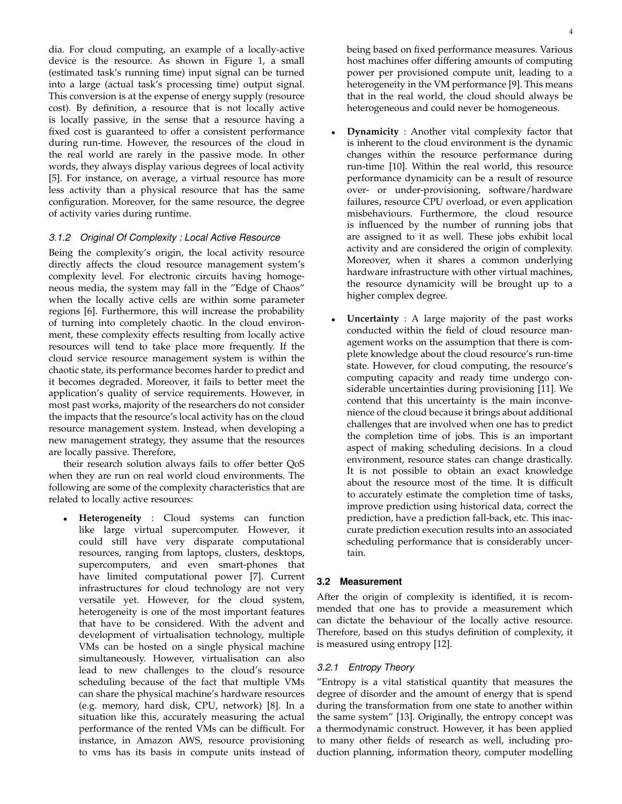dia. For cloud computing, an example of a locally-active device is the resource. As shown in Figure 1, a small (estimated task's running time) input signal can be turned into a large (actual task's processing time) output signal. This conversion is at the expense of energy supply (resource cost). By definition, a resource that is not locally active is locally passive, in the sense that a resource having a fixed cost is guaranteed to offer a consistent performance during run-time. However, the resources of the cloud in the real world are rarely in the passive mode. In other words, they always display various degrees of local activity [5]. For instance, on average, a virtual resource has more less activity than a physical resource that has the same configuration. Moreover, for the same resource, the degree of activity varies during runtime.

#### *3.1.2 Original Of Complexity : Local Active Resource*

Being the complexity's origin, the local activity resource directly affects the cloud resource management system's complexity level. For electronic circuits having homogeneous media, the system may fall in the "Edge of Chaos" when the locally active cells are within some parameter regions [6]. Furthermore, this will increase the probability of turning into completely chaotic. In the cloud environment, these complexity effects resulting from locally active resources will tend to take place more frequently. If the cloud service resource management system is within the chaotic state, its performance becomes harder to predict and it becomes degraded. Moreover, it fails to better meet the application's quality of service requirements. However, in most past works, majority of the researchers do not consider the impacts that the resource's local activity has on the cloud resource management system. Instead, when developing a new management strategy, they assume that the resources are locally passive. Therefore,

their research solution always fails to offer better QoS when they are run on real world cloud environments. The following are some of the complexity characteristics that are related to locally active resources:

• **Heterogeneity** : Cloud systems can function like large virtual supercomputer. However, it could still have very disparate computational resources, ranging from laptops, clusters, desktops, supercomputers, and even smart-phones that have limited computational power [7]. Current infrastructures for cloud technology are not very versatile yet. However, for the cloud system, heterogeneity is one of the most important features that have to be considered. With the advent and development of virtualisation technology, multiple VMs can be hosted on a single physical machine simultaneously. However, virtualisation can also lead to new challenges to the cloud's resource scheduling because of the fact that multiple VMs can share the physical machine's hardware resources (e.g. memory, hard disk, CPU, network) [8]. In a situation like this, accurately measuring the actual performance of the rented VMs can be difficult. For instance, in Amazon AWS, resource provisioning to vms has its basis in compute units instead of

being based on fixed performance measures. Various host machines offer differing amounts of computing power per provisioned compute unit, leading to a heterogeneity in the VM performance [9]. This means that in the real world, the cloud should always be heterogeneous and could never be homogeneous.

- **Dynamicity** : Another vital complexity factor that is inherent to the cloud environment is the dynamic changes within the resource performance during run-time [10]. Within the real world, this resource performance dynamicity can be a result of resource over- or under-provisioning, software/hardware failures, resource CPU overload, or even application misbehaviours. Furthermore, the cloud resource is influenced by the number of running jobs that are assigned to it as well. These jobs exhibit local activity and are considered the origin of complexity. Moreover, when it shares a common underlying hardware infrastructure with other virtual machines, the resource dynamicity will be brought up to a higher complex degree.
- **Uncertainty** : A large majority of the past works conducted within the field of cloud resource management works on the assumption that there is complete knowledge about the cloud resource's run-time state. However, for cloud computing, the resource's computing capacity and ready time undergo considerable uncertainties during provisioning [11]. We contend that this uncertainty is the main inconvenience of the cloud because it brings about additional challenges that are involved when one has to predict the completion time of jobs. This is an important aspect of making scheduling decisions. In a cloud environment, resource states can change drastically. It is not possible to obtain an exact knowledge about the resource most of the time. It is difficult to accurately estimate the completion time of tasks, improve prediction using historical data, correct the prediction, have a prediction fall-back, etc. This inaccurate prediction execution results into an associated scheduling performance that is considerably uncertain.

#### **3.2 Measurement**

After the origin of complexity is identified, it is recommended that one has to provide a measurement which can dictate the behaviour of the locally active resource. Therefore, based on this studys definition of complexity, it is measured using entropy [12].

#### *3.2.1 Entropy Theory*

"Entropy is a vital statistical quantity that measures the degree of disorder and the amount of energy that is spend during the transformation from one state to another within the same system" [13]. Originally, the entropy concept was a thermodynamic construct. However, it has been applied to many other fields of research as well, including production planning, information theory, computer modelling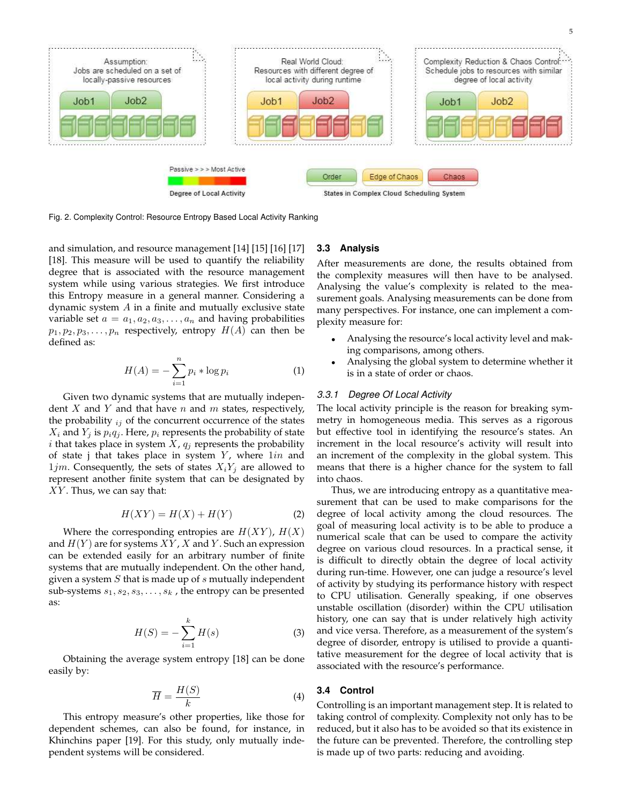

Fig. 2. Complexity Control: Resource Entropy Based Local Activity Ranking

and simulation, and resource management [14] [15] [16] [17] [18]. This measure will be used to quantify the reliability degree that is associated with the resource management system while using various strategies. We first introduce this Entropy measure in a general manner. Considering a dynamic system A in a finite and mutually exclusive state variable set  $a = a_1, a_2, a_3, \ldots, a_n$  and having probabilities  $p_1, p_2, p_3, \ldots, p_n$  respectively, entropy  $H(A)$  can then be defined as:

$$
H(A) = -\sum_{i=1}^{n} p_i * \log p_i \tag{1}
$$

Given two dynamic systems that are mutually independent X and Y and that have  $n$  and  $m$  states, respectively, the probability  $_{ij}$  of the concurrent occurrence of the states  $X_i$  and  $Y_j$  is  $p_iq_j$ . Here,  $p_i$  represents the probability of state *i* that takes place in system X,  $q_i$  represents the probability of state j that takes place in system  $Y$ , where  $1in$  and 1*jm*. Consequently, the sets of states  $X_iY_j$  are allowed to represent another finite system that can be designated by  $XY$ . Thus, we can say that:

$$
H(XY) = H(X) + H(Y)
$$
 (2)

Where the corresponding entropies are  $H(XY)$ ,  $H(X)$ and  $H(Y)$  are for systems  $XY$ , X and Y. Such an expression can be extended easily for an arbitrary number of finite systems that are mutually independent. On the other hand, given a system  $S$  that is made up of  $s$  mutually independent sub-systems  $s_1, s_2, s_3, \ldots, s_k$ , the entropy can be presented as:

$$
H(S) = -\sum_{i=1}^{k} H(s)
$$
 (3)

Obtaining the average system entropy [18] can be done easily by:

$$
\overline{H} = \frac{H(S)}{k} \tag{4}
$$

This entropy measure's other properties, like those for dependent schemes, can also be found, for instance, in Khinchins paper [19]. For this study, only mutually independent systems will be considered.

#### **3.3 Analysis**

After measurements are done, the results obtained from the complexity measures will then have to be analysed. Analysing the value's complexity is related to the measurement goals. Analysing measurements can be done from many perspectives. For instance, one can implement a complexity measure for:

- Analysing the resource's local activity level and making comparisons, among others.
- Analysing the global system to determine whether it is in a state of order or chaos.

#### *3.3.1 Degree Of Local Activity*

The local activity principle is the reason for breaking symmetry in homogeneous media. This serves as a rigorous but effective tool in identifying the resource's states. An increment in the local resource's activity will result into an increment of the complexity in the global system. This means that there is a higher chance for the system to fall into chaos.

Thus, we are introducing entropy as a quantitative measurement that can be used to make comparisons for the degree of local activity among the cloud resources. The goal of measuring local activity is to be able to produce a numerical scale that can be used to compare the activity degree on various cloud resources. In a practical sense, it is difficult to directly obtain the degree of local activity during run-time. However, one can judge a resource's level of activity by studying its performance history with respect to CPU utilisation. Generally speaking, if one observes unstable oscillation (disorder) within the CPU utilisation history, one can say that is under relatively high activity and vice versa. Therefore, as a measurement of the system's degree of disorder, entropy is utilised to provide a quantitative measurement for the degree of local activity that is associated with the resource's performance.

#### **3.4 Control**

Controlling is an important management step. It is related to taking control of complexity. Complexity not only has to be reduced, but it also has to be avoided so that its existence in the future can be prevented. Therefore, the controlling step is made up of two parts: reducing and avoiding.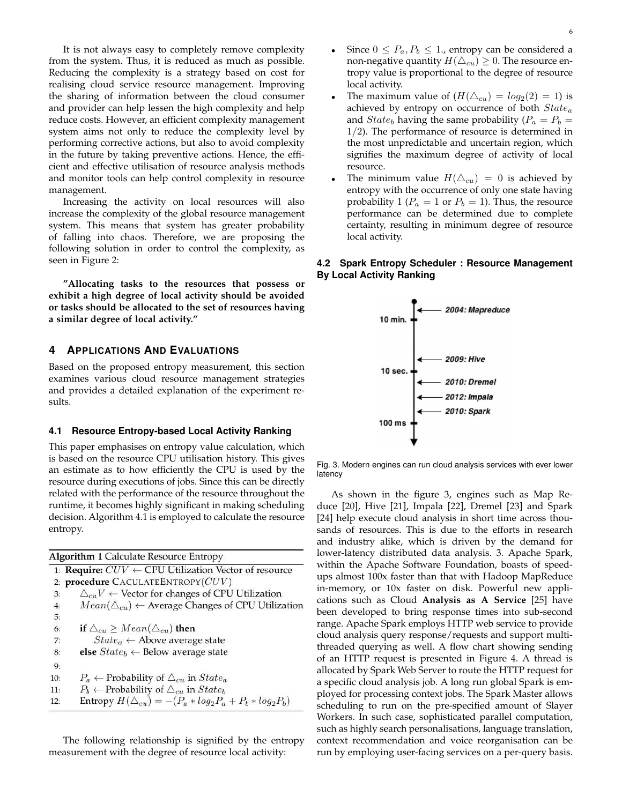It is not always easy to completely remove complexity from the system. Thus, it is reduced as much as possible. Reducing the complexity is a strategy based on cost for realising cloud service resource management. Improving the sharing of information between the cloud consumer and provider can help lessen the high complexity and help reduce costs. However, an efficient complexity management system aims not only to reduce the complexity level by performing corrective actions, but also to avoid complexity in the future by taking preventive actions. Hence, the efficient and effective utilisation of resource analysis methods and monitor tools can help control complexity in resource management.

Increasing the activity on local resources will also increase the complexity of the global resource management system. This means that system has greater probability of falling into chaos. Therefore, we are proposing the following solution in order to control the complexity, as seen in Figure 2:

**"Allocating tasks to the resources that possess or exhibit a high degree of local activity should be avoided or tasks should be allocated to the set of resources having a similar degree of local activity."**

#### **4 APPLICATIONS AND EVALUATIONS**

Based on the proposed entropy measurement, this section examines various cloud resource management strategies and provides a detailed explanation of the experiment results.

#### **4.1 Resource Entropy-based Local Activity Ranking**

This paper emphasises on entropy value calculation, which is based on the resource CPU utilisation history. This gives an estimate as to how efficiently the CPU is used by the resource during executions of jobs. Since this can be directly related with the performance of the resource throughout the runtime, it becomes highly significant in making scheduling decision. Algorithm 4.1 is employed to calculate the resource entropy.

| <b>Algorithm 1</b> Calculate Resource Entropy |                                                                               |  |  |  |  |
|-----------------------------------------------|-------------------------------------------------------------------------------|--|--|--|--|
|                                               | 1: Require: $CUV \leftarrow CPU$ Utilization Vector of resource               |  |  |  |  |
| 2:                                            | procedure $CACULATEENTROPY(CUV)$                                              |  |  |  |  |
| 3:                                            | $\triangle_{cu}V \leftarrow$ Vector for changes of CPU Utilization            |  |  |  |  |
|                                               | $Mean(\triangle_{cu}) \leftarrow Average Changes$ of CPU Utilization          |  |  |  |  |
| $rac{4}{5}$                                   |                                                                               |  |  |  |  |
| 6:                                            | if $\triangle_{cu} \geq Mean(\triangle_{cu})$ then                            |  |  |  |  |
| 7:                                            | $State_a \leftarrow$ Above average state                                      |  |  |  |  |
| 8:                                            | else $State_b \leftarrow$ Below average state                                 |  |  |  |  |
| 9:                                            |                                                                               |  |  |  |  |
| 10:                                           | $P_a \leftarrow$ Probability of $\triangle_{cu}$ in $State_a$                 |  |  |  |  |
| 11:                                           | $P_b \leftarrow$ Probability of $\triangle_{cu}$ in <i>State</i> <sub>b</sub> |  |  |  |  |
| 12:                                           | Entropy $H(\triangle_{cu}) = -(P_a * log_2 P_a + P_b * log_2 P_b)$            |  |  |  |  |

The following relationship is signified by the entropy measurement with the degree of resource local activity:

- Since  $0 \leq P_a, P_b \leq 1$ ., entropy can be considered a non-negative quantity  $H(\triangle_{cu}) \geq 0$ . The resource entropy value is proportional to the degree of resource local activity.
- The maximum value of  $(H(\triangle_{cu}) = log_2(2) = 1)$  is achieved by entropy on occurrence of both  $State_a$ and  $State_b$  having the same probability ( $P_a = P_b =$ 1/2). The performance of resource is determined in the most unpredictable and uncertain region, which signifies the maximum degree of activity of local resource.
- The minimum value  $H(\triangle_{cu}) = 0$  is achieved by entropy with the occurrence of only one state having probability 1 ( $P_a = 1$  or  $P_b = 1$ ). Thus, the resource performance can be determined due to complete certainty, resulting in minimum degree of resource local activity.

#### **4.2 Spark Entropy Scheduler : Resource Management By Local Activity Ranking**



Fig. 3. Modern engines can run cloud analysis services with ever lower latency

As shown in the figure 3, engines such as Map Reduce [20], Hive [21], Impala [22], Dremel [23] and Spark [24] help execute cloud analysis in short time across thousands of resources. This is due to the efforts in research and industry alike, which is driven by the demand for lower-latency distributed data analysis. 3. Apache Spark, within the Apache Software Foundation, boasts of speedups almost 100x faster than that with Hadoop MapReduce in-memory, or 10x faster on disk. Powerful new applications such as Cloud **Analysis as A Service** [25] have been developed to bring response times into sub-second range. Apache Spark employs HTTP web service to provide cloud analysis query response/requests and support multithreaded querying as well. A flow chart showing sending of an HTTP request is presented in Figure 4. A thread is allocated by Spark Web Server to route the HTTP request for a specific cloud analysis job. A long run global Spark is employed for processing context jobs. The Spark Master allows scheduling to run on the pre-specified amount of Slayer Workers. In such case, sophisticated parallel computation, such as highly search personalisations, language translation, context recommendation and voice reorganisation can be run by employing user-facing services on a per-query basis.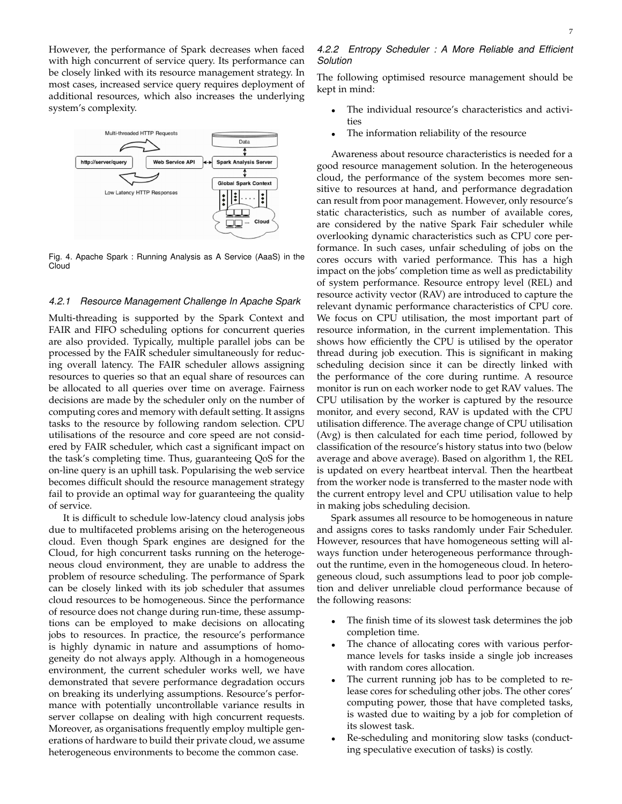However, the performance of Spark decreases when faced with high concurrent of service query. Its performance can be closely linked with its resource management strategy. In most cases, increased service query requires deployment of additional resources, which also increases the underlying system's complexity.



Fig. 4. Apache Spark : Running Analysis as A Service (AaaS) in the Cloud

#### *4.2.1 Resource Management Challenge In Apache Spark*

Multi-threading is supported by the Spark Context and FAIR and FIFO scheduling options for concurrent queries are also provided. Typically, multiple parallel jobs can be processed by the FAIR scheduler simultaneously for reducing overall latency. The FAIR scheduler allows assigning resources to queries so that an equal share of resources can be allocated to all queries over time on average. Fairness decisions are made by the scheduler only on the number of computing cores and memory with default setting. It assigns tasks to the resource by following random selection. CPU utilisations of the resource and core speed are not considered by FAIR scheduler, which cast a significant impact on the task's completing time. Thus, guaranteeing QoS for the on-line query is an uphill task. Popularising the web service becomes difficult should the resource management strategy fail to provide an optimal way for guaranteeing the quality of service.

It is difficult to schedule low-latency cloud analysis jobs due to multifaceted problems arising on the heterogeneous cloud. Even though Spark engines are designed for the Cloud, for high concurrent tasks running on the heterogeneous cloud environment, they are unable to address the problem of resource scheduling. The performance of Spark can be closely linked with its job scheduler that assumes cloud resources to be homogeneous. Since the performance of resource does not change during run-time, these assumptions can be employed to make decisions on allocating jobs to resources. In practice, the resource's performance is highly dynamic in nature and assumptions of homogeneity do not always apply. Although in a homogeneous environment, the current scheduler works well, we have demonstrated that severe performance degradation occurs on breaking its underlying assumptions. Resource's performance with potentially uncontrollable variance results in server collapse on dealing with high concurrent requests. Moreover, as organisations frequently employ multiple generations of hardware to build their private cloud, we assume heterogeneous environments to become the common case.

#### *4.2.2 Entropy Scheduler : A More Reliable and Efficient Solution*

The following optimised resource management should be kept in mind:

- The individual resource's characteristics and activities
- The information reliability of the resource

Awareness about resource characteristics is needed for a good resource management solution. In the heterogeneous cloud, the performance of the system becomes more sensitive to resources at hand, and performance degradation can result from poor management. However, only resource's static characteristics, such as number of available cores, are considered by the native Spark Fair scheduler while overlooking dynamic characteristics such as CPU core performance. In such cases, unfair scheduling of jobs on the cores occurs with varied performance. This has a high impact on the jobs' completion time as well as predictability of system performance. Resource entropy level (REL) and resource activity vector (RAV) are introduced to capture the relevant dynamic performance characteristics of CPU core. We focus on CPU utilisation, the most important part of resource information, in the current implementation. This shows how efficiently the CPU is utilised by the operator thread during job execution. This is significant in making scheduling decision since it can be directly linked with the performance of the core during runtime. A resource monitor is run on each worker node to get RAV values. The CPU utilisation by the worker is captured by the resource monitor, and every second, RAV is updated with the CPU utilisation difference. The average change of CPU utilisation (Avg) is then calculated for each time period, followed by classification of the resource's history status into two (below average and above average). Based on algorithm 1, the REL is updated on every heartbeat interval. Then the heartbeat from the worker node is transferred to the master node with the current entropy level and CPU utilisation value to help in making jobs scheduling decision.

Spark assumes all resource to be homogeneous in nature and assigns cores to tasks randomly under Fair Scheduler. However, resources that have homogeneous setting will always function under heterogeneous performance throughout the runtime, even in the homogeneous cloud. In heterogeneous cloud, such assumptions lead to poor job completion and deliver unreliable cloud performance because of the following reasons:

- The finish time of its slowest task determines the job completion time.
- The chance of allocating cores with various performance levels for tasks inside a single job increases with random cores allocation.
- The current running job has to be completed to release cores for scheduling other jobs. The other cores' computing power, those that have completed tasks, is wasted due to waiting by a job for completion of its slowest task.
- Re-scheduling and monitoring slow tasks (conducting speculative execution of tasks) is costly.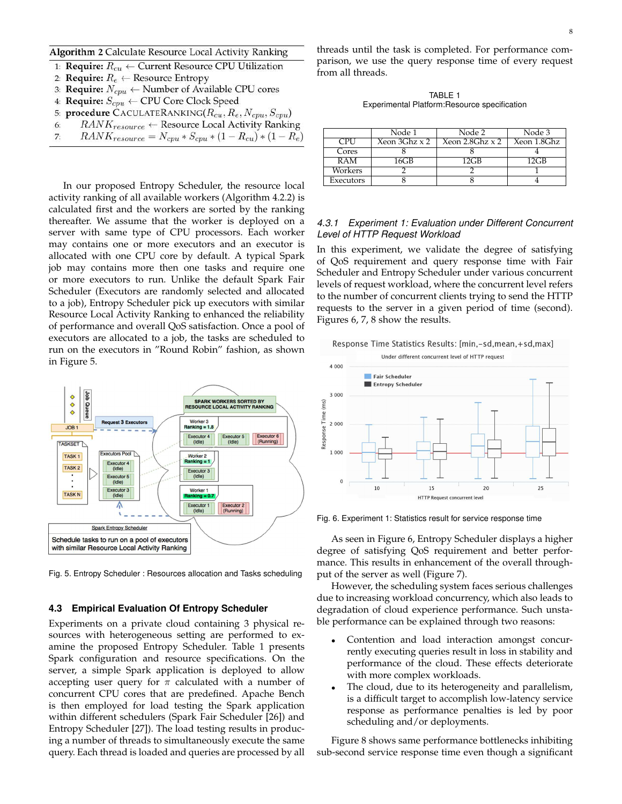#### Algorithm 2 Calculate Resource Local Activity Ranking

- 1: Require:  $R_{cu} \leftarrow$  Current Resource CPU Utilization
- 2: Require:  $R_e \leftarrow$  Resource Entropy
- 3: **Require:**  $N_{cpu} \leftarrow$  Number of Available CPU cores
- 4: Require:  $S_{cpu} \leftarrow \text{CPU Core Clock Speed}$
- 5: **procedure** CACULATERANKING( $R_{cu}, R_e, N_{cpu}, S_{cpu}$ )
- $RANK_{resource} \leftarrow$  Resource Local Activity Ranking 6:
- $RANK_{resource} = N_{cpu} * S_{cpu} * (1 R_{cu}) * (1 R_e)$  $7:$

In our proposed Entropy Scheduler, the resource local activity ranking of all available workers (Algorithm 4.2.2) is calculated first and the workers are sorted by the ranking thereafter. We assume that the worker is deployed on a server with same type of CPU processors. Each worker may contains one or more executors and an executor is allocated with one CPU core by default. A typical Spark job may contains more then one tasks and require one or more executors to run. Unlike the default Spark Fair Scheduler (Executors are randomly selected and allocated to a job), Entropy Scheduler pick up executors with similar Resource Local Activity Ranking to enhanced the reliability of performance and overall QoS satisfaction. Once a pool of executors are allocated to a job, the tasks are scheduled to run on the executors in "Round Robin" fashion, as shown in Figure 5.



Fig. 5. Entropy Scheduler : Resources allocation and Tasks scheduling

#### **4.3 Empirical Evaluation Of Entropy Scheduler**

Experiments on a private cloud containing 3 physical resources with heterogeneous setting are performed to examine the proposed Entropy Scheduler. Table 1 presents Spark configuration and resource specifications. On the server, a simple Spark application is deployed to allow accepting user query for  $\pi$  calculated with a number of concurrent CPU cores that are predefined. Apache Bench is then employed for load testing the Spark application within different schedulers (Spark Fair Scheduler [26]) and Entropy Scheduler [27]). The load testing results in producing a number of threads to simultaneously execute the same query. Each thread is loaded and queries are processed by all threads until the task is completed. For performance comparison, we use the query response time of every request from all threads.

TABLE 1 Experimental Platform:Resource specification

|            | Node 1        | Node 2                    | Node 3      |
|------------|---------------|---------------------------|-------------|
| <b>CPU</b> | Xeon 3Ghz x 2 | Xeon $2.8$ Ghz $\times 2$ | Xeon 1.8Ghz |
| Cores      |               |                           |             |
| RAM        | 16GB          | 12GB                      | 12GB        |
| Workers    |               |                           |             |
| Executors  |               |                           |             |

#### *4.3.1 Experiment 1: Evaluation under Different Concurrent Level of HTTP Request Workload*

In this experiment, we validate the degree of satisfying of QoS requirement and query response time with Fair Scheduler and Entropy Scheduler under various concurrent levels of request workload, where the concurrent level refers to the number of concurrent clients trying to send the HTTP requests to the server in a given period of time (second). Figures 6, 7, 8 show the results.

Response Time Statistics Results: [min.-sd.mean.+sd.max]

Under different concurrent level of HTTP request



Fig. 6. Experiment 1: Statistics result for service response time

As seen in Figure 6, Entropy Scheduler displays a higher degree of satisfying QoS requirement and better performance. This results in enhancement of the overall throughput of the server as well (Figure 7).

However, the scheduling system faces serious challenges due to increasing workload concurrency, which also leads to degradation of cloud experience performance. Such unstable performance can be explained through two reasons:

- Contention and load interaction amongst concurrently executing queries result in loss in stability and performance of the cloud. These effects deteriorate with more complex workloads.
- The cloud, due to its heterogeneity and parallelism, is a difficult target to accomplish low-latency service response as performance penalties is led by poor scheduling and/or deployments.

Figure 8 shows same performance bottlenecks inhibiting sub-second service response time even though a significant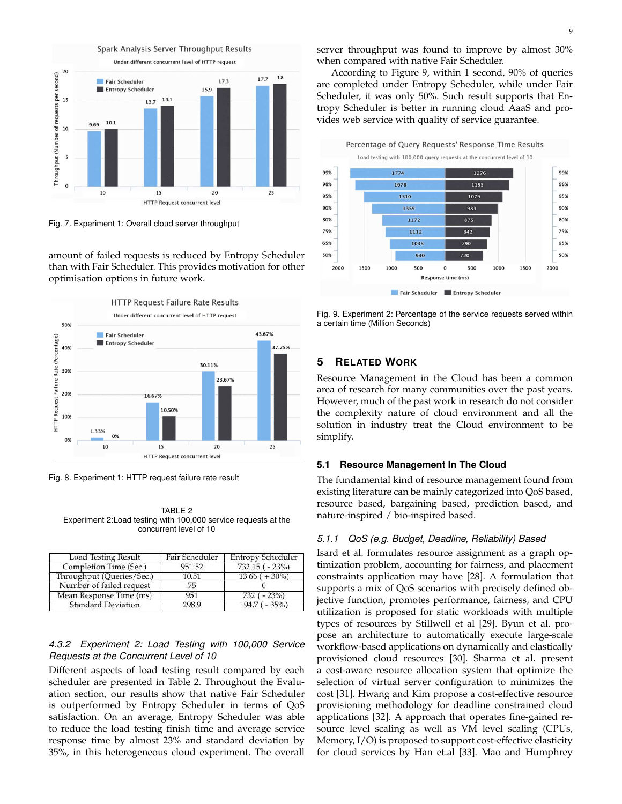

Fig. 7. Experiment 1: Overall cloud server throughput

amount of failed requests is reduced by Entropy Scheduler than with Fair Scheduler. This provides motivation for other optimisation options in future work.



Fig. 8. Experiment 1: HTTP request failure rate result

TABLE 2 Experiment 2:Load testing with 100,000 service requests at the concurrent level of 10

| Load Testing Result       | Fair Scheduler | <b>Entropy Scheduler</b> |
|---------------------------|----------------|--------------------------|
| Completion Time (Sec.)    | 951.52         | $732.15(-23%)$           |
| Throughput (Queries/Sec.) | 10.51          | $13.66 (+ 30\%)$         |
| Number of failed request  | 75             |                          |
| Mean Response Time (ms)   | 951            | $732(-23%)$              |
| <b>Standard Deviation</b> | 298.9          | $194.7(-35%)$            |

#### *4.3.2 Experiment 2: Load Testing with 100,000 Service Requests at the Concurrent Level of 10*

Different aspects of load testing result compared by each scheduler are presented in Table 2. Throughout the Evaluation section, our results show that native Fair Scheduler is outperformed by Entropy Scheduler in terms of QoS satisfaction. On an average, Entropy Scheduler was able to reduce the load testing finish time and average service response time by almost 23% and standard deviation by 35%, in this heterogeneous cloud experiment. The overall

According to Figure 9, within 1 second, 90% of queries are completed under Entropy Scheduler, while under Fair Scheduler, it was only 50%. Such result supports that Entropy Scheduler is better in running cloud AaaS and provides web service with quality of service guarantee.



Fig. 9. Experiment 2: Percentage of the service requests served within a certain time (Million Seconds)

#### **5 RELATED WORK**

Resource Management in the Cloud has been a common area of research for many communities over the past years. However, much of the past work in research do not consider the complexity nature of cloud environment and all the solution in industry treat the Cloud environment to be simplify.

#### **5.1 Resource Management In The Cloud**

The fundamental kind of resource management found from existing literature can be mainly categorized into QoS based, resource based, bargaining based, prediction based, and nature-inspired / bio-inspired based.

#### *5.1.1 QoS (e.g. Budget, Deadline, Reliability) Based*

Isard et al. formulates resource assignment as a graph optimization problem, accounting for fairness, and placement constraints application may have [28]. A formulation that supports a mix of QoS scenarios with precisely defined objective function, promotes performance, fairness, and CPU utilization is proposed for static workloads with multiple types of resources by Stillwell et al [29]. Byun et al. propose an architecture to automatically execute large-scale workflow-based applications on dynamically and elastically provisioned cloud resources [30]. Sharma et al. present a cost-aware resource allocation system that optimize the selection of virtual server configuration to minimizes the cost [31]. Hwang and Kim propose a cost-effective resource provisioning methodology for deadline constrained cloud applications [32]. A approach that operates fine-gained resource level scaling as well as VM level scaling (CPUs, Memory, I/O) is proposed to support cost-effective elasticity for cloud services by Han et.al [33]. Mao and Humphrey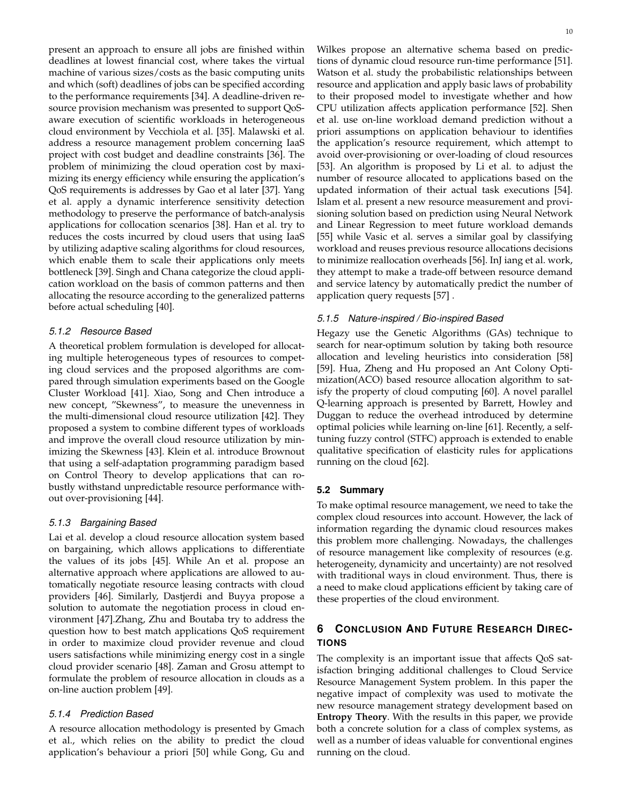present an approach to ensure all jobs are finished within deadlines at lowest financial cost, where takes the virtual machine of various sizes/costs as the basic computing units and which (soft) deadlines of jobs can be specified according to the performance requirements [34]. A deadline-driven resource provision mechanism was presented to support QoSaware execution of scientific workloads in heterogeneous cloud environment by Vecchiola et al. [35]. Malawski et al. address a resource management problem concerning IaaS project with cost budget and deadline constraints [36]. The problem of minimizing the cloud operation cost by maximizing its energy efficiency while ensuring the application's QoS requirements is addresses by Gao et al later [37]. Yang et al. apply a dynamic interference sensitivity detection methodology to preserve the performance of batch-analysis applications for collocation scenarios [38]. Han et al. try to reduces the costs incurred by cloud users that using IaaS by utilizing adaptive scaling algorithms for cloud resources, which enable them to scale their applications only meets bottleneck [39]. Singh and Chana categorize the cloud application workload on the basis of common patterns and then allocating the resource according to the generalized patterns before actual scheduling [40].

#### *5.1.2 Resource Based*

A theoretical problem formulation is developed for allocating multiple heterogeneous types of resources to competing cloud services and the proposed algorithms are compared through simulation experiments based on the Google Cluster Workload [41]. Xiao, Song and Chen introduce a new concept, "Skewness", to measure the unevenness in the multi-dimensional cloud resource utilization [42]. They proposed a system to combine different types of workloads and improve the overall cloud resource utilization by minimizing the Skewness [43]. Klein et al. introduce Brownout that using a self-adaptation programming paradigm based on Control Theory to develop applications that can robustly withstand unpredictable resource performance without over-provisioning [44].

#### *5.1.3 Bargaining Based*

Lai et al. develop a cloud resource allocation system based on bargaining, which allows applications to differentiate the values of its jobs [45]. While An et al. propose an alternative approach where applications are allowed to automatically negotiate resource leasing contracts with cloud providers [46]. Similarly, Dastjerdi and Buyya propose a solution to automate the negotiation process in cloud environment [47].Zhang, Zhu and Boutaba try to address the question how to best match applications QoS requirement in order to maximize cloud provider revenue and cloud users satisfactions while minimizing energy cost in a single cloud provider scenario [48]. Zaman and Grosu attempt to formulate the problem of resource allocation in clouds as a on-line auction problem [49].

#### *5.1.4 Prediction Based*

A resource allocation methodology is presented by Gmach et al., which relies on the ability to predict the cloud application's behaviour a priori [50] while Gong, Gu and

Wilkes propose an alternative schema based on predictions of dynamic cloud resource run-time performance [51]. Watson et al. study the probabilistic relationships between resource and application and apply basic laws of probability to their proposed model to investigate whether and how CPU utilization affects application performance [52]. Shen et al. use on-line workload demand prediction without a priori assumptions on application behaviour to identifies the application's resource requirement, which attempt to avoid over-provisioning or over-loading of cloud resources [53]. An algorithm is proposed by Li et al. to adjust the number of resource allocated to applications based on the updated information of their actual task executions [54]. Islam et al. present a new resource measurement and provisioning solution based on prediction using Neural Network and Linear Regression to meet future workload demands [55] while Vasic et al. serves a similar goal by classifying workload and reuses previous resource allocations decisions to minimize reallocation overheads [56]. InJ iang et al. work, they attempt to make a trade-off between resource demand and service latency by automatically predict the number of application query requests [57] .

#### *5.1.5 Nature-inspired / Bio-inspired Based*

Hegazy use the Genetic Algorithms (GAs) technique to search for near-optimum solution by taking both resource allocation and leveling heuristics into consideration [58] [59]. Hua, Zheng and Hu proposed an Ant Colony Optimization(ACO) based resource allocation algorithm to satisfy the property of cloud computing [60]. A novel parallel Q-learning approach is presented by Barrett, Howley and Duggan to reduce the overhead introduced by determine optimal policies while learning on-line [61]. Recently, a selftuning fuzzy control (STFC) approach is extended to enable qualitative specification of elasticity rules for applications running on the cloud [62].

#### **5.2 Summary**

To make optimal resource management, we need to take the complex cloud resources into account. However, the lack of information regarding the dynamic cloud resources makes this problem more challenging. Nowadays, the challenges of resource management like complexity of resources (e.g. heterogeneity, dynamicity and uncertainty) are not resolved with traditional ways in cloud environment. Thus, there is a need to make cloud applications efficient by taking care of these properties of the cloud environment.

#### **6 CONCLUSION AND FUTURE RESEARCH DIREC-TIONS**

The complexity is an important issue that affects QoS satisfaction bringing additional challenges to Cloud Service Resource Management System problem. In this paper the negative impact of complexity was used to motivate the new resource management strategy development based on **Entropy Theory**. With the results in this paper, we provide both a concrete solution for a class of complex systems, as well as a number of ideas valuable for conventional engines running on the cloud.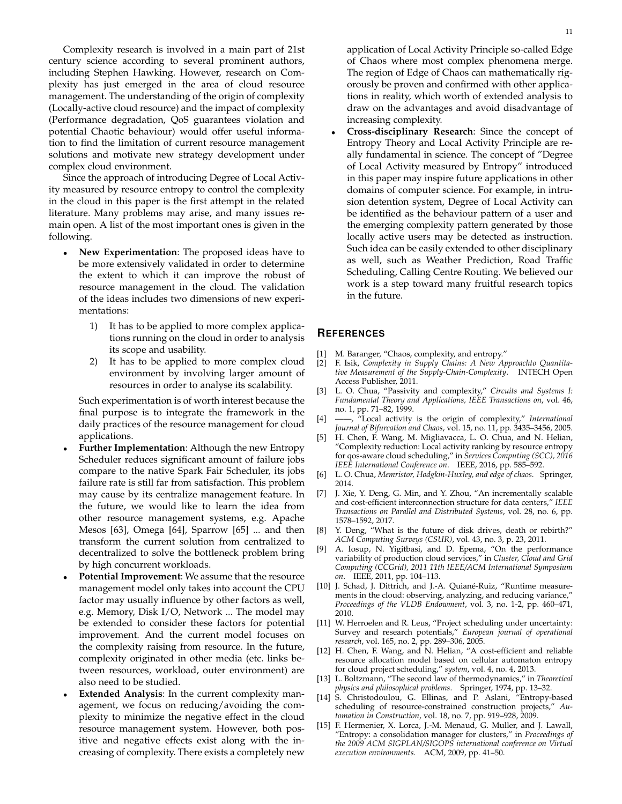Complexity research is involved in a main part of 21st century science according to several prominent authors, including Stephen Hawking. However, research on Complexity has just emerged in the area of cloud resource management. The understanding of the origin of complexity (Locally-active cloud resource) and the impact of complexity (Performance degradation, QoS guarantees violation and potential Chaotic behaviour) would offer useful information to find the limitation of current resource management solutions and motivate new strategy development under complex cloud environment.

Since the approach of introducing Degree of Local Activity measured by resource entropy to control the complexity in the cloud in this paper is the first attempt in the related literature. Many problems may arise, and many issues remain open. A list of the most important ones is given in the following.

- **New Experimentation**: The proposed ideas have to be more extensively validated in order to determine the extent to which it can improve the robust of resource management in the cloud. The validation of the ideas includes two dimensions of new experimentations:
	- 1) It has to be applied to more complex applications running on the cloud in order to analysis its scope and usability.
	- 2) It has to be applied to more complex cloud environment by involving larger amount of resources in order to analyse its scalability.

Such experimentation is of worth interest because the final purpose is to integrate the framework in the daily practices of the resource management for cloud applications.

- **Further Implementation**: Although the new Entropy Scheduler reduces significant amount of failure jobs compare to the native Spark Fair Scheduler, its jobs failure rate is still far from satisfaction. This problem may cause by its centralize management feature. In the future, we would like to learn the idea from other resource management systems, e.g. Apache Mesos [63], Omega [64], Sparrow [65] ... and then transform the current solution from centralized to decentralized to solve the bottleneck problem bring by high concurrent workloads.
- **Potential Improvement**: We assume that the resource management model only takes into account the CPU factor may usually influence by other factors as well, e.g. Memory, Disk I/O, Network ... The model may be extended to consider these factors for potential improvement. And the current model focuses on the complexity raising from resource. In the future, complexity originated in other media (etc. links between resources, workload, outer environment) are also need to be studied.
- **Extended Analysis:** In the current complexity management, we focus on reducing/avoiding the complexity to minimize the negative effect in the cloud resource management system. However, both positive and negative effects exist along with the increasing of complexity. There exists a completely new

application of Local Activity Principle so-called Edge of Chaos where most complex phenomena merge. The region of Edge of Chaos can mathematically rigorously be proven and confirmed with other applications in reality, which worth of extended analysis to draw on the advantages and avoid disadvantage of increasing complexity.

• **Cross-disciplinary Research**: Since the concept of Entropy Theory and Local Activity Principle are really fundamental in science. The concept of "Degree of Local Activity measured by Entropy" introduced in this paper may inspire future applications in other domains of computer science. For example, in intrusion detention system, Degree of Local Activity can be identified as the behaviour pattern of a user and the emerging complexity pattern generated by those locally active users may be detected as instruction. Such idea can be easily extended to other disciplinary as well, such as Weather Prediction, Road Traffic Scheduling, Calling Centre Routing. We believed our work is a step toward many fruitful research topics in the future.

#### **REFERENCES**

- [1] M. Baranger, "Chaos, complexity, and entropy."
- [2] F. Isik, *Complexity in Supply Chains: A New Approachto Quantitative Measurement of the Supply-Chain-Complexity*. INTECH Open Access Publisher, 2011.
- [3] L. O. Chua, "Passivity and complexity," *Circuits and Systems I: Fundamental Theory and Applications, IEEE Transactions on*, vol. 46, no. 1, pp. 71–82, 1999.
- [4] ——, "Local activity is the origin of complexity," *International Journal of Bifurcation and Chaos*, vol. 15, no. 11, pp. 3435–3456, 2005.
- [5] H. Chen, F. Wang, M. Migliavacca, L. O. Chua, and N. Helian, "Complexity reduction: Local activity ranking by resource entropy for qos-aware cloud scheduling," in *Services Computing (SCC), 2016 IEEE International Conference on*. IEEE, 2016, pp. 585–592.
- [6] L. O. Chua, *Memristor, Hodgkin-Huxley, and edge of chaos*. Springer, 2014.
- [7] J. Xie, Y. Deng, G. Min, and Y. Zhou, "An incrementally scalable and cost-efficient interconnection structure for data centers," *IEEE Transactions on Parallel and Distributed Systems*, vol. 28, no. 6, pp. 1578–1592, 2017.
- [8] Y. Deng, "What is the future of disk drives, death or rebirth?" *ACM Computing Surveys (CSUR)*, vol. 43, no. 3, p. 23, 2011.
- [9] A. Iosup, N. Yigitbasi, and D. Epema, "On the performance variability of production cloud services," in *Cluster, Cloud and Grid Computing (CCGrid), 2011 11th IEEE/ACM International Symposium on*. IEEE, 2011, pp. 104–113.
- [10] J. Schad, J. Dittrich, and J.-A. Quiané-Ruiz, "Runtime measurements in the cloud: observing, analyzing, and reducing variance, *Proceedings of the VLDB Endowment*, vol. 3, no. 1-2, pp. 460–471, 2010.
- [11] W. Herroelen and R. Leus, "Project scheduling under uncertainty: Survey and research potentials," *European journal of operational research*, vol. 165, no. 2, pp. 289–306, 2005.
- [12] H. Chen, F. Wang, and N. Helian, "A cost-efficient and reliable resource allocation model based on cellular automaton entropy for cloud project scheduling," *system*, vol. 4, no. 4, 2013.
- [13] L. Boltzmann, "The second law of thermodynamics," in *Theoretical physics and philosophical problems*. Springer, 1974, pp. 13–32.
- [14] S. Christodoulou, G. Ellinas, and P. Aslani, "Entropy-based scheduling of resource-constrained construction projects," *Automation in Construction*, vol. 18, no. 7, pp. 919–928, 2009.
- [15] F. Hermenier, X. Lorca, J.-M. Menaud, G. Muller, and J. Lawall, "Entropy: a consolidation manager for clusters," in *Proceedings of the 2009 ACM SIGPLAN/SIGOPS international conference on Virtual execution environments*. ACM, 2009, pp. 41–50.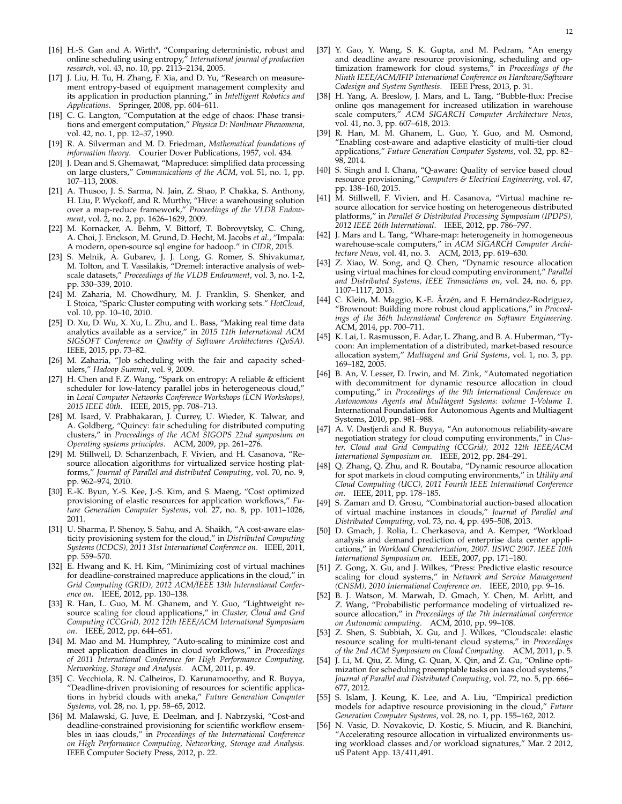- [16] H.-S. Gan and A. Wirth\*, "Comparing deterministic, robust and online scheduling using entropy," *International journal of production research*, vol. 43, no. 10, pp. 2113–2134, 2005.
- [17] J. Liu, H. Tu, H. Zhang, F. Xia, and D. Yu, "Research on measurement entropy-based of equipment management complexity and its application in production planning," in *Intelligent Robotics and Applications*. Springer, 2008, pp. 604–611.
- [18] C. G. Langton, "Computation at the edge of chaos: Phase transitions and emergent computation," *Physica D: Nonlinear Phenomena*, vol. 42, no. 1, pp. 12–37, 1990.
- [19] R. A. Silverman and M. D. Friedman, *Mathematical foundations of information theory*. Courier Dover Publications, 1957, vol. 434.
- [20] J. Dean and S. Ghemawat, "Mapreduce: simplified data processing on large clusters," *Communications of the ACM*, vol. 51, no. 1, pp. 107–113, 2008.
- [21] A. Thusoo, J. S. Sarma, N. Jain, Z. Shao, P. Chakka, S. Anthony, H. Liu, P. Wyckoff, and R. Murthy, "Hive: a warehousing solution over a map-reduce framework," *Proceedings of the VLDB Endowment*, vol. 2, no. 2, pp. 1626–1629, 2009.
- [22] M. Kornacker, A. Behm, V. Bittorf, T. Bobrovytsky, C. Ching, A. Choi, J. Erickson, M. Grund, D. Hecht, M. Jacobs *et al.*, "Impala: A modern, open-source sql engine for hadoop." in *CIDR*, 2015.
- [23] S. Melnik, A. Gubarev, J. J. Long, G. Romer, S. Shivakumar, M. Tolton, and T. Vassilakis, "Dremel: interactive analysis of webscale datasets," *Proceedings of the VLDB Endowment*, vol. 3, no. 1-2, pp. 330–339, 2010.
- [24] M. Zaharia, M. Chowdhury, M. J. Franklin, S. Shenker, and I. Stoica, "Spark: Cluster computing with working sets." *HotCloud*, vol. 10, pp. 10-10, 2010.
- [25] D. Xu, D. Wu, X. Xu, L. Zhu, and L. Bass, "Making real time data analytics available as a service," in *2015 11th International ACM SIGSOFT Conference on Quality of Software Architectures (QoSA)*. IEEE, 2015, pp. 73–82.
- [26] M. Zaharia, "Job scheduling with the fair and capacity schedulers," *Hadoop Summit*, vol. 9, 2009.
- [27] H. Chen and F. Z. Wang, "Spark on entropy: A reliable & efficient scheduler for low-latency parallel jobs in heterogeneous cloud," in *Local Computer Networks Conference Workshops (LCN Workshops), 2015 IEEE 40th*. IEEE, 2015, pp. 708–713.
- [28] M. Isard, V. Prabhakaran, J. Currey, U. Wieder, K. Talwar, and A. Goldberg, "Quincy: fair scheduling for distributed computing clusters," in *Proceedings of the ACM SIGOPS 22nd symposium on Operating systems principles*. ACM, 2009, pp. 261–276.
- [29] M. Stillwell, D. Schanzenbach, F. Vivien, and H. Casanova, "Resource allocation algorithms for virtualized service hosting platforms," *Journal of Parallel and distributed Computing*, vol. 70, no. 9, pp. 962–974, 2010.
- [30] E.-K. Byun, Y.-S. Kee, J.-S. Kim, and S. Maeng, "Cost optimized provisioning of elastic resources for application workflows," *Future Generation Computer Systems*, vol. 27, no. 8, pp. 1011–1026, 2011.
- [31] U. Sharma, P. Shenoy, S. Sahu, and A. Shaikh, "A cost-aware elasticity provisioning system for the cloud," in *Distributed Computing Systems (ICDCS), 2011 31st International Conference on*. IEEE, 2011, pp. 559–570.
- [32] E. Hwang and K. H. Kim, "Minimizing cost of virtual machines for deadline-constrained mapreduce applications in the cloud," in *Grid Computing (GRID), 2012 ACM/IEEE 13th International Conference on*. IEEE, 2012, pp. 130–138.
- [33] R. Han, L. Guo, M. M. Ghanem, and Y. Guo, "Lightweight resource scaling for cloud applications," in *Cluster, Cloud and Grid Computing (CCGrid), 2012 12th IEEE/ACM International Symposium on*. IEEE, 2012, pp. 644–651.
- [34] M. Mao and M. Humphrey, "Auto-scaling to minimize cost and meet application deadlines in cloud workflows," in *Proceedings of 2011 International Conference for High Performance Computing, Networking, Storage and Analysis*. ACM, 2011, p. 49.
- [35] C. Vecchiola, R. N. Calheiros, D. Karunamoorthy, and R. Buyya, "Deadline-driven provisioning of resources for scientific applications in hybrid clouds with aneka," *Future Generation Computer Systems*, vol. 28, no. 1, pp. 58–65, 2012.
- [36] M. Malawski, G. Juve, E. Deelman, and J. Nabrzyski, "Cost-and deadline-constrained provisioning for scientific workflow ensembles in iaas clouds," in *Proceedings of the International Conference on High Performance Computing, Networking, Storage and Analysis*. IEEE Computer Society Press, 2012, p. 22.
- [37] Y. Gao, Y. Wang, S. K. Gupta, and M. Pedram, "An energy and deadline aware resource provisioning, scheduling and optimization framework for cloud systems," in *Proceedings of the Ninth IEEE/ACM/IFIP International Conference on Hardware/Software Codesign and System Synthesis*. IEEE Press, 2013, p. 31.
- [38] H. Yang, A. Breslow, J. Mars, and L. Tang, "Bubble-flux: Precise online qos management for increased utilization in warehouse scale computers," *ACM SIGARCH Computer Architecture News*, vol. 41, no. 3, pp. 607–618, 2013.
- [39] R. Han, M. M. Ghanem, L. Guo, Y. Guo, and M. Osmond, "Enabling cost-aware and adaptive elasticity of multi-tier cloud applications," *Future Generation Computer Systems*, vol. 32, pp. 82– 98, 2014.
- [40] S. Singh and I. Chana, "Q-aware: Quality of service based cloud resource provisioning," *Computers & Electrical Engineering*, vol. 47, pp. 138–160, 2015.
- [41] M. Stillwell, F. Vivien, and H. Casanova, "Virtual machine resource allocation for service hosting on heterogeneous distributed platforms," in *Parallel & Distributed Processing Symposium (IPDPS), 2012 IEEE 26th International*. IEEE, 2012, pp. 786–797.
- [42] J. Mars and L. Tang, "Whare-map: heterogeneity in homogeneous warehouse-scale computers," in *ACM SIGARCH Computer Architecture News*, vol. 41, no. 3. ACM, 2013, pp. 619–630.
- [43] Z. Xiao, W. Song, and Q. Chen, "Dynamic resource allocation using virtual machines for cloud computing environment," *Parallel and Distributed Systems, IEEE Transactions on*, vol. 24, no. 6, pp. 1107–1117, 2013.
- [44] C. Klein, M. Maggio, K.-E. Årzén, and F. Hernández-Rodriguez, "Brownout: Building more robust cloud applications," in *Proceedings of the 36th International Conference on Software Engineering*. ACM, 2014, pp. 700–711.
- [45] K. Lai, L. Rasmusson, E. Adar, L. Zhang, and B. A. Huberman, "Tycoon: An implementation of a distributed, market-based resource allocation system," *Multiagent and Grid Systems*, vol. 1, no. 3, pp. 169–182, 2005.
- [46] B. An, V. Lesser, D. Irwin, and M. Zink, "Automated negotiation with decommitment for dynamic resource allocation in cloud computing," in *Proceedings of the 9th International Conference on Autonomous Agents and Multiagent Systems: volume 1-Volume 1*. International Foundation for Autonomous Agents and Multiagent Systems, 2010, pp. 981–988.
- [47] A. V. Dastjerdi and R. Buyya, "An autonomous reliability-aware negotiation strategy for cloud computing environments," in *Cluster, Cloud and Grid Computing (CCGrid), 2012 12th IEEE/ACM International Symposium on*. IEEE, 2012, pp. 284–291.
- [48] Q. Zhang, Q. Zhu, and R. Boutaba, "Dynamic resource allocation for spot markets in cloud computing environments," in *Utility and Cloud Computing (UCC), 2011 Fourth IEEE International Conference on*. IEEE, 2011, pp. 178–185.
- [49] S. Zaman and D. Grosu, "Combinatorial auction-based allocation of virtual machine instances in clouds," *Journal of Parallel and Distributed Computing*, vol. 73, no. 4, pp. 495–508, 2013.
- [50] D. Gmach, J. Rolia, L. Cherkasova, and A. Kemper, "Workload analysis and demand prediction of enterprise data center applications," in *Workload Characterization, 2007. IISWC 2007. IEEE 10th International Symposium on*. IEEE, 2007, pp. 171–180.
- [51] Z. Gong, X. Gu, and J. Wilkes, "Press: Predictive elastic resource scaling for cloud systems," in *Network and Service Management (CNSM), 2010 International Conference on*. IEEE, 2010, pp. 9–16.
- [52] B. J. Watson, M. Marwah, D. Gmach, Y. Chen, M. Arlitt, and Z. Wang, "Probabilistic performance modeling of virtualized resource allocation," in *Proceedings of the 7th international conference on Autonomic computing*. ACM, 2010, pp. 99–108.
- [53] Z. Shen, S. Subbiah, X. Gu, and J. Wilkes, "Cloudscale: elastic resource scaling for multi-tenant cloud systems," in *Proceedings of the 2nd ACM Symposium on Cloud Computing*. ACM, 2011, p. 5.
- [54] J. Li, M. Qiu, Z. Ming, G. Quan, X. Qin, and Z. Gu, "Online optimization for scheduling preemptable tasks on iaas cloud systems," *Journal of Parallel and Distributed Computing*, vol. 72, no. 5, pp. 666– 677, 2012.
- [55] S. Islam, J. Keung, K. Lee, and A. Liu, "Empirical prediction models for adaptive resource provisioning in the cloud," *Future Generation Computer Systems*, vol. 28, no. 1, pp. 155–162, 2012.
- [56] N. Vasic, D. Novakovic, D. Kostic, S. Miucin, and R. Bianchini, "Accelerating resource allocation in virtualized environments using workload classes and/or workload signatures," Mar. 2 2012, uS Patent App. 13/411,491.